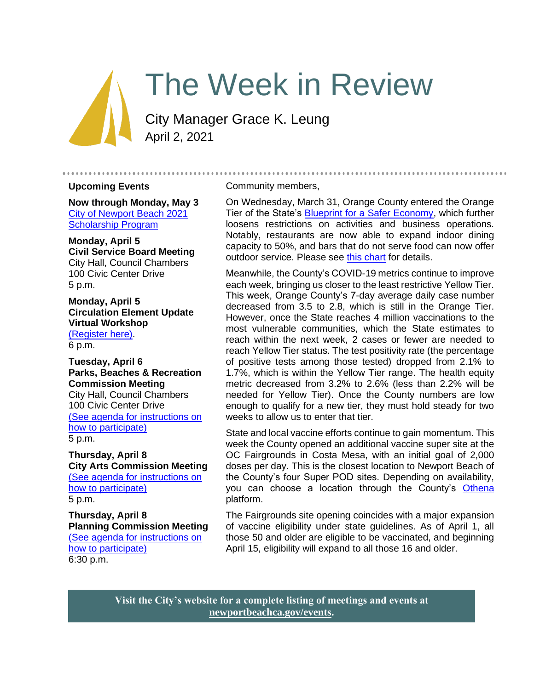# The Week in Review

City Manager Grace K. Leung April 2, 2021

#### **Upcoming Events**

**Now through Monday, May 3** [City of Newport Beach 2021](https://www.newportbeachca.gov/government/departments/human-resources/2021-scholarship-program)  [Scholarship Program](https://www.newportbeachca.gov/government/departments/human-resources/2021-scholarship-program)

**Monday, April 5 Civil Service Board Meeting** City Hall, Council Chambers 100 Civic Center Drive 5 p.m.

**Monday, April 5 Circulation Element Update Virtual Workshop** [\(Register here\).](https://zoom.us/meeting/register/tJEvcOuqrjgiH9aL4Lq40IHvjoFZ47SSsAXW) 6 p.m.

**Tuesday, April 6 Parks, Beaches & Recreation Commission Meeting** City Hall, Council Chambers 100 Civic Center Drive [\(See agenda for instructions on](https://newportbeachca.gov/Home/ShowDocument?id=69720)  [how to participate\)](https://newportbeachca.gov/Home/ShowDocument?id=69720) 5 p.m.

**Thursday, April 8 City Arts Commission Meeting** [\(See agenda for instructions on](https://newportbeachca.gov/Home/Components/Calendar/Event/65414/72)  [how to participate\)](https://newportbeachca.gov/Home/Components/Calendar/Event/65414/72)

5 p.m.

**Thursday, April 8 Planning Commission Meeting** [\(See agenda for instructions on](https://www.newportbeachca.gov/government/departments/community-development/planning-division/planning-commission)  [how to participate\)](https://www.newportbeachca.gov/government/departments/community-development/planning-division/planning-commission) 6:30 p.m.

#### Community members,

On Wednesday, March 31, Orange County entered the Orange Tier of the State's **Blueprint for a Safer Economy**, which further loosens restrictions on activities and business operations. Notably, restaurants are now able to expand indoor dining capacity to 50%, and bars that do not serve food can now offer outdoor service. Please see [this chart](https://www.cdph.ca.gov/Programs/CID/DCDC/CDPH%20Document%20Library/COVID-19/Dimmer-Framework-September_2020.pdf) for details.

.....................

Meanwhile, the County's COVID-19 metrics continue to improve each week, bringing us closer to the least restrictive Yellow Tier. This week, Orange County's 7-day average daily case number decreased from 3.5 to 2.8, which is still in the Orange Tier. However, once the State reaches 4 million vaccinations to the most vulnerable communities, which the State estimates to reach within the next week, 2 cases or fewer are needed to reach Yellow Tier status. The test positivity rate (the percentage of positive tests among those tested) dropped from 2.1% to 1.7%, which is within the Yellow Tier range. The health equity metric decreased from 3.2% to 2.6% (less than 2.2% will be needed for Yellow Tier). Once the County numbers are low enough to qualify for a new tier, they must hold steady for two weeks to allow us to enter that tier.

State and local vaccine efforts continue to gain momentum. This week the County opened an additional vaccine super site at the OC Fairgrounds in Costa Mesa, with an initial goal of 2,000 doses per day. This is the closest location to Newport Beach of the County's four Super POD sites. Depending on availability, you can choose a location through the County's [Othena](https://www.othena.com/) platform.

The Fairgrounds site opening coincides with a major expansion of vaccine eligibility under state guidelines. As of April 1, all those 50 and older are eligible to be vaccinated, and beginning April 15, eligibility will expand to all those 16 and older.

**Visit the City's website for a complete listing of meetings and events at [newportbeachca.gov/events.](https://www.newportbeachca.gov/government/data-hub/city-calendar)**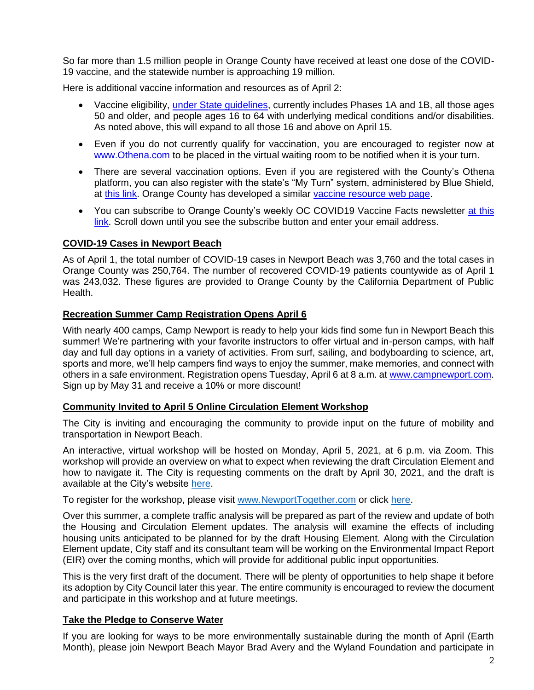So far more than 1.5 million people in Orange County have received at least one dose of the COVID-19 vaccine, and the statewide number is approaching 19 million.

Here is additional vaccine information and resources as of April 2:

- Vaccine eligibility, *under State guidelines*, currently includes Phases 1A and 1B, all those ages 50 and older, and people ages 16 to 64 with underlying medical conditions and/or disabilities. As noted above, this will expand to all those 16 and above on April 15.
- Even if you do not currently qualify for vaccination, you are encouraged to register now at [www.Othena.com](https://lnks.gd/l/eyJhbGciOiJIUzI1NiJ9.eyJidWxsZXRpbl9saW5rX2lkIjoxMDAsInVyaSI6ImJwMjpjbGljayIsImJ1bGxldGluX2lkIjoiMjAyMTAzMTguMzcyMjIwMzEiLCJ1cmwiOiJodHRwOi8vd3d3Lk90aGVuYS5jb20ifQ.5OHW0-vcE_IzHFtKN3jd8yvcc10Sa2dqetK02U7cNhc/s/1420811472/br/100285178308-l) to be placed in the virtual waiting room to be notified when it is your turn.
- There are several vaccination options. Even if you are registered with the County's Othena platform, you can also register with the state's "My Turn" system, administered by Blue Shield, at [this link.](https://www.blueshieldca.com/bsca/bsc/wcm/connect/sites/sites_content_en/coronavirus/vaccine-locations) Orange County has developed a similar [vaccine resource web page.](https://occovid19.ochealthinfo.com/covid-19-vaccine-distribution-channels)
- You can subscribe to Orange County's weekly OC COVID19 Vaccine Facts newsletter at this [link.](https://occovid19.ochealthinfo.com/covid-19-vaccine-resources) Scroll down until you see the subscribe button and enter your email address.

## **COVID-19 Cases in Newport Beach**

As of April 1, the total number of COVID-19 cases in Newport Beach was 3,760 and the total cases in Orange County was 250,764. The number of recovered COVID-19 patients countywide as of April 1 was 243,032. These figures are provided to Orange County by the California Department of Public Health.

## **Recreation Summer Camp Registration Opens April 6**

With nearly 400 camps, Camp Newport is ready to help your kids find some fun in Newport Beach this summer! We're partnering with your favorite instructors to offer virtual and in-person camps, with half day and full day options in a variety of activities. From surf, sailing, and bodyboarding to science, art, sports and more, we'll help campers find ways to enjoy the summer, make memories, and connect with others in a safe environment. Registration opens Tuesday, April 6 at 8 a.m. at [www.campnewport.com.](http://www.campnewport.com/) Sign up by May 31 and receive a 10% or more discount!

## **Community Invited to April 5 Online Circulation Element Workshop**

The City is inviting and encouraging the community to provide input on the future of mobility and transportation in Newport Beach.

An interactive, virtual workshop will be hosted on Monday, April 5, 2021, at 6 p.m. via Zoom. This workshop will provide an overview on what to expect when reviewing the draft Circulation Element and how to navigate it. The City is requesting comments on the draft by April 30, 2021, and the draft is available at the City's website [here.](http://www.newportbeachca.gov/DraftCEUpdate)

To register for the workshop, please visit [www.NewportTogether.com](http://www.newporttogether.com/) or click [here.](https://zoom.us/meeting/register/tJEvcOuqrjgiH9aL4Lq40IHvjoFZ47SSsAXW)

Over this summer, a complete traffic analysis will be prepared as part of the review and update of both the Housing and Circulation Element updates. The analysis will examine the effects of including housing units anticipated to be planned for by the draft Housing Element. Along with the Circulation Element update, City staff and its consultant team will be working on the Environmental Impact Report (EIR) over the coming months, which will provide for additional public input opportunities.

This is the very first draft of the document. There will be plenty of opportunities to help shape it before its adoption by City Council later this year. The entire community is encouraged to review the document and participate in this workshop and at future meetings.

## **Take the Pledge to Conserve Water**

If you are looking for ways to be more environmentally sustainable during the month of April (Earth Month), please join Newport Beach Mayor Brad Avery and the Wyland Foundation and participate in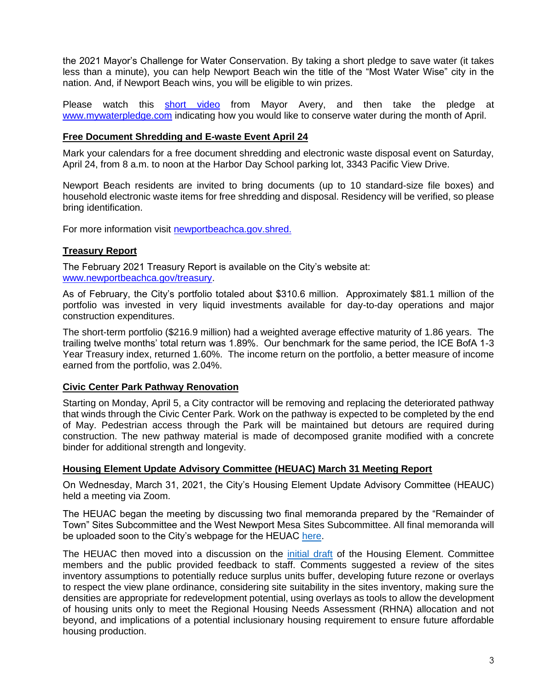the 2021 Mayor's Challenge for Water Conservation. By taking a short pledge to save water (it takes less than a minute), you can help Newport Beach win the title of the "Most Water Wise" city in the nation. And, if Newport Beach wins, you will be eligible to win prizes.

Please watch this [short video](https://www.youtube.com/watch?v=XwolsV7sLtk) from Mayor Avery, and then take the pledge at [www.mywaterpledge.com](http://www.mywaterpledge.com/) indicating how you would like to conserve water during the month of April.

#### **Free Document Shredding and E-waste Event April 24**

Mark your calendars for a free document shredding and electronic waste disposal event on Saturday, April 24, from 8 a.m. to noon at the Harbor Day School parking lot, 3343 Pacific View Drive.

Newport Beach residents are invited to bring documents (up to 10 standard-size file boxes) and household electronic waste items for free shredding and disposal. Residency will be verified, so please bring identification.

For more information visit [newportbeachca.gov.shred.](http://newportbeachca.gov.shred./)

## **Treasury Report**

The February 2021 Treasury Report is available on the City's website at: [www.newportbeachca.gov/treasury.](http://www.newportbeachca.gov/treasury)

As of February, the City's portfolio totaled about \$310.6 million. Approximately \$81.1 million of the portfolio was invested in very liquid investments available for day-to-day operations and major construction expenditures.

The short-term portfolio (\$216.9 million) had a weighted average effective maturity of 1.86 years. The trailing twelve months' total return was 1.89%. Our benchmark for the same period, the ICE BofA 1-3 Year Treasury index, returned 1.60%. The income return on the portfolio, a better measure of income earned from the portfolio, was 2.04%.

## **Civic Center Park Pathway Renovation**

Starting on Monday, April 5, a City contractor will be removing and replacing the deteriorated pathway that winds through the Civic Center Park. Work on the pathway is expected to be completed by the end of May. Pedestrian access through the Park will be maintained but detours are required during construction. The new pathway material is made of decomposed granite modified with a concrete binder for additional strength and longevity.

## **Housing Element Update Advisory Committee (HEUAC) March 31 Meeting Report**

On Wednesday, March 31, 2021, the City's Housing Element Update Advisory Committee (HEAUC) held a meeting via Zoom.

The HEUAC began the meeting by discussing two final memoranda prepared by the "Remainder of Town" Sites Subcommittee and the West Newport Mesa Sites Subcommittee. All final memoranda will be uploaded soon to the City's webpage for the HEUAC [here.](https://www.newportbeachca.gov/government/data-hub/agendas-minutes/housing-element-update-advisory-committee)

The HEUAC then moved into a discussion on the [initial draft](http://www.newportbeachca.gov/DraftHEUpdate) of the Housing Element. Committee members and the public provided feedback to staff. Comments suggested a review of the sites inventory assumptions to potentially reduce surplus units buffer, developing future rezone or overlays to respect the view plane ordinance, considering site suitability in the sites inventory, making sure the densities are appropriate for redevelopment potential, using overlays as tools to allow the development of housing units only to meet the Regional Housing Needs Assessment (RHNA) allocation and not beyond, and implications of a potential inclusionary housing requirement to ensure future affordable housing production.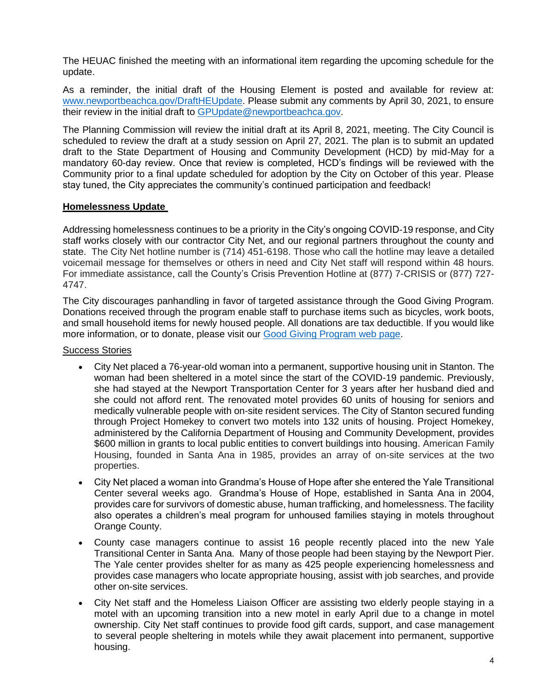The HEUAC finished the meeting with an informational item regarding the upcoming schedule for the update.

As a reminder, the initial draft of the Housing Element is posted and available for review at: [www.newportbeachca.gov/DraftHEUpdate.](http://www.newportbeachca.gov/DraftHEUpdate) Please submit any comments by April 30, 2021, to ensure their review in the initial draft to [GPUpdate@newportbeachca.gov.](mailto:GPUpdate@newportbeachca.gov)

The Planning Commission will review the initial draft at its April 8, 2021, meeting. The City Council is scheduled to review the draft at a study session on April 27, 2021. The plan is to submit an updated draft to the State Department of Housing and Community Development (HCD) by mid-May for a mandatory 60-day review. Once that review is completed, HCD's findings will be reviewed with the Community prior to a final update scheduled for adoption by the City on October of this year. Please stay tuned, the City appreciates the community's continued participation and feedback!

## **Homelessness Update**

Addressing homelessness continues to be a priority in the City's ongoing COVID-19 response, and City staff works closely with our contractor City Net, and our regional partners throughout the county and state. The City Net hotline number is (714) 451-6198. Those who call the hotline may leave a detailed voicemail message for themselves or others in need and City Net staff will respond within 48 hours. For immediate assistance, call the County's Crisis Prevention Hotline at (877) 7-CRISIS or (877) 727- 4747.

The City discourages panhandling in favor of targeted assistance through the Good Giving Program. Donations received through the program enable staff to purchase items such as bicycles, work boots, and small household items for newly housed people. All donations are tax deductible. If you would like more information, or to donate, please visit our [Good Giving Program web page.](https://newportbeachca.gov/trending/community-issues/homelessness/how-you-can-help)

Success Stories

- City Net placed a 76-year-old woman into a permanent, supportive housing unit in Stanton. The woman had been sheltered in a motel since the start of the COVID-19 pandemic. Previously, she had stayed at the Newport Transportation Center for 3 years after her husband died and she could not afford rent. The renovated motel provides 60 units of housing for seniors and medically vulnerable people with on-site resident services. The City of Stanton secured funding through Project Homekey to convert two motels into 132 units of housing. Project Homekey, administered by the California Department of Housing and Community Development, provides \$600 million in grants to local public entities to convert buildings into housing. American Family Housing, founded in Santa Ana in 1985, provides an array of on-site services at the two properties.
- City Net placed a woman into Grandma's House of Hope after she entered the Yale Transitional Center several weeks ago. Grandma's House of Hope, established in Santa Ana in 2004, provides care for survivors of domestic abuse, human trafficking, and homelessness. The facility also operates a children's meal program for unhoused families staying in motels throughout Orange County.
- County case managers continue to assist 16 people recently placed into the new Yale Transitional Center in Santa Ana. Many of those people had been staying by the Newport Pier. The Yale center provides shelter for as many as 425 people experiencing homelessness and provides case managers who locate appropriate housing, assist with job searches, and provide other on-site services.
- City Net staff and the Homeless Liaison Officer are assisting two elderly people staying in a motel with an upcoming transition into a new motel in early April due to a change in motel ownership. City Net staff continues to provide food gift cards, support, and case management to several people sheltering in motels while they await placement into permanent, supportive housing.